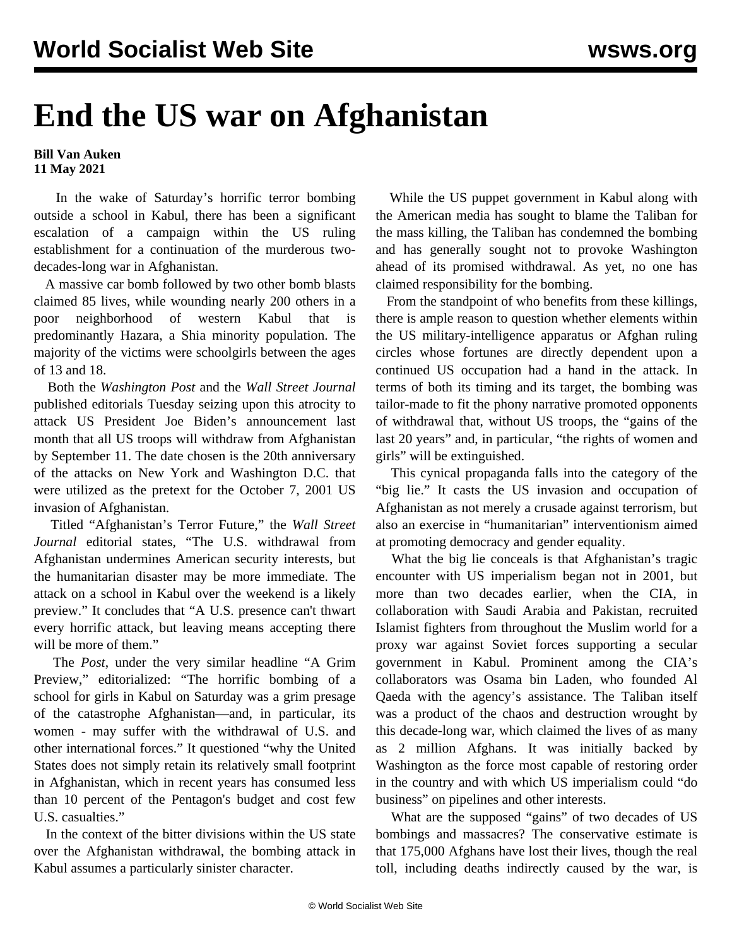## **End the US war on Afghanistan**

## **Bill Van Auken 11 May 2021**

 In the wake of Saturday's horrific terror bombing outside a school in Kabul, there has been a significant escalation of a campaign within the US ruling establishment for a continuation of the murderous twodecades-long war in Afghanistan.

 A massive car bomb followed by two other bomb blasts claimed 85 lives, while wounding nearly 200 others in a poor neighborhood of western Kabul that is predominantly Hazara, a Shia minority population. The majority of the victims were schoolgirls between the ages of 13 and 18.

 Both the *Washington Post* and the *Wall Street Journal* published editorials Tuesday seizing upon this atrocity to attack US President Joe Biden's announcement last month that all US troops will withdraw from Afghanistan by September 11. The date chosen is the 20th anniversary of the attacks on New York and Washington D.C. that were utilized as the pretext for the October 7, 2001 US invasion of Afghanistan.

 Titled "Afghanistan's Terror Future," the *Wall Street Journal* editorial states, "The U.S. withdrawal from Afghanistan undermines American security interests, but the humanitarian disaster may be more immediate. The attack on a school in Kabul over the weekend is a likely preview." It concludes that "A U.S. presence can't thwart every horrific attack, but leaving means accepting there will be more of them."

 The *Post*, under the very similar headline "A Grim Preview," editorialized: "The horrific bombing of a school for girls in Kabul on Saturday was a grim presage of the catastrophe Afghanistan—and, in particular, its women - may suffer with the withdrawal of U.S. and other international forces." It questioned "why the United States does not simply retain its relatively small footprint in Afghanistan, which in recent years has consumed less than 10 percent of the Pentagon's budget and cost few U.S. casualties."

 In the context of the bitter divisions within the US state over the Afghanistan withdrawal, the bombing attack in Kabul assumes a particularly sinister character.

 While the US puppet government in Kabul along with the American media has sought to blame the Taliban for the mass killing, the Taliban has condemned the bombing and has generally sought not to provoke Washington ahead of its promised withdrawal. As yet, no one has claimed responsibility for the bombing.

 From the standpoint of who benefits from these killings, there is ample reason to question whether elements within the US military-intelligence apparatus or Afghan ruling circles whose fortunes are directly dependent upon a continued US occupation had a hand in the attack. In terms of both its timing and its target, the bombing was tailor-made to fit the phony narrative promoted opponents of withdrawal that, without US troops, the "gains of the last 20 years" and, in particular, "the rights of women and girls" will be extinguished.

 This cynical propaganda falls into the category of the "big lie." It casts the US invasion and occupation of Afghanistan as not merely a crusade against terrorism, but also an exercise in "humanitarian" interventionism aimed at promoting democracy and gender equality.

 What the big lie conceals is that Afghanistan's tragic encounter with US imperialism began not in 2001, but more than two decades earlier, when the CIA, in collaboration with Saudi Arabia and Pakistan, recruited Islamist fighters from throughout the Muslim world for a proxy war against Soviet forces supporting a secular government in Kabul. Prominent among the CIA's collaborators was Osama bin Laden, who founded Al Qaeda with the agency's assistance. The Taliban itself was a product of the chaos and destruction wrought by this decade-long war, which claimed the lives of as many as 2 million Afghans. It was initially backed by Washington as the force most capable of restoring order in the country and with which US imperialism could "do business" on pipelines and other interests.

 What are the supposed "gains" of two decades of US bombings and massacres? The conservative estimate is that 175,000 Afghans have lost their lives, though the real toll, including deaths indirectly caused by the war, is